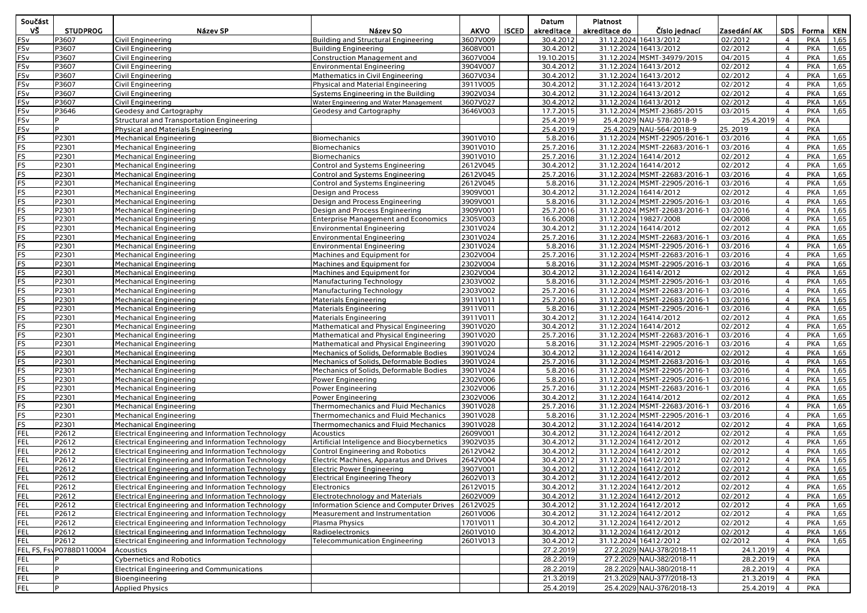| Součást    |                           |                                                                                                        |                                                                                      |                      |              | Datum                  | Platnost              |                                                       |                    |                                  |                          |              |
|------------|---------------------------|--------------------------------------------------------------------------------------------------------|--------------------------------------------------------------------------------------|----------------------|--------------|------------------------|-----------------------|-------------------------------------------------------|--------------------|----------------------------------|--------------------------|--------------|
| ٧Š         | <b>STUDPROG</b>           | Název SP                                                                                               | Název SO                                                                             | <b>AKVO</b>          | <b>ISCED</b> | akreditace             | akreditace do         | Číslo jednací                                         | Zasedání AK        |                                  | SDS   Forma              | KEN          |
| FSv        | P3607                     | Civil Engineering                                                                                      | <b>Building and Structural Engineering</b>                                           | 3607V009             |              | 30.4.2012              | 31.12.2024 16413/2012 |                                                       | 02/2012            | $\overline{4}$                   | <b>PKA</b>               | 1,65         |
| FSv        | P3607                     | Civil Engineering                                                                                      | <b>Building Engineering</b>                                                          | 3608V001             |              | 30.4.2012              |                       | 31.12.2024 16413/2012                                 | 02/2012            | $\overline{4}$                   | <b>PKA</b>               | 1,65         |
| FSv        | P3607                     | Civil Engineering                                                                                      | <b>Construction Management and</b>                                                   | 3607V004             |              | 19.10.2015             |                       | 31.12.2024 MSMT-34979/2015                            | 04/2015            | $\overline{4}$                   | <b>PKA</b>               | 1,65         |
| FSv        | P3607                     | Civil Engineering                                                                                      | <b>Environmental Engineering</b>                                                     | 3904V007             |              | 30.4.2012              |                       | 31.12.2024 16413/2012                                 | 02/2012            | $\overline{4}$                   | <b>PKA</b>               | 1,65         |
| FSv<br>FSv | P3607<br>P3607            | Civil Engineering                                                                                      | Mathematics in Civil Engineering                                                     | 3607V034<br>3911V005 |              | 30.4.2012<br>30.4.2012 |                       | 31.12.2024 16413/2012<br>31.12.2024 16413/2012        | 02/2012<br>02/2012 | $\overline{4}$<br>$\overline{4}$ | <b>PKA</b><br><b>PKA</b> | 1,65<br>1,65 |
| FSv        | P3607                     | Civil Engineering<br>Civil Engineering                                                                 | Physical and Material Engineering<br>Systems Engineering in the Building             | 3902V034             |              | 30.4.2012              | 31.12.2024 16413/2012 |                                                       | 02/2012            | $\overline{4}$                   | PKA                      | 1,65         |
| FSv        | P3607                     | Civil Engineering                                                                                      | Water Engineering and Water Management                                               | 3607V027             |              | 30.4.2012              |                       | 31.12.2024 16413/2012                                 | 02/2012            | $\overline{4}$                   | <b>PKA</b>               | 1,65         |
| FSv        | P3646                     | Geodesy and Cartography                                                                                | <b>Geodesy and Cartography</b>                                                       | 3646V003             |              | 17.7.2015              |                       | 31.12.2024 MSMT-23685/2015                            | 03/2015            | $\overline{4}$                   | <b>PKA</b>               | 1,65         |
| FSv        | P                         | Structural and Transportation Engineering                                                              |                                                                                      |                      |              | 25.4.2019              |                       | 25.4.2029 NAU-578/2018-9                              | 25.4.2019          | $\overline{4}$                   | <b>PKA</b>               |              |
| FSv        | P                         | Physical and Materials Engineering                                                                     |                                                                                      |                      |              | 25.4.2019              |                       | 25.4.2029 NAU-564/2018-9                              | 25.2019            | $\overline{4}$                   | <b>PKA</b>               |              |
| <b>FS</b>  | P2301                     | <b>Mechanical Engineering</b>                                                                          | <b>Biomechanics</b>                                                                  | 3901V010             |              | 5.8.2016               |                       | 31.12.2024 MSMT-22905/2016-1                          | 03/2016            | $\overline{4}$                   | <b>PKA</b>               | 1,65         |
| FS         | P2301                     | <b>Mechanical Engineering</b>                                                                          | <b>Biomechanics</b>                                                                  | 3901V010             |              | 25.7.2016              |                       | 31.12.2024 MSMT-22683/2016-1                          | 03/2016            | $\overline{4}$                   | <b>PKA</b>               | 1,65         |
| FS         | P2301                     | <b>Mechanical Engineering</b>                                                                          | <b>Biomechanics</b>                                                                  | 3901V010             |              | 25.7.2016              |                       | 31.12.2024 16414/2012                                 | 02/2012            | 4                                | <b>PKA</b>               | 1,65         |
| FS         | P2301                     | <b>Mechanical Engineering</b>                                                                          | Control and Systems Engineering                                                      | 2612V045             |              | 30.4.2012              |                       | 31.12.2024 16414/2012                                 | 02/2012            | $\overline{4}$                   | <b>PKA</b>               | 1,65         |
| FS         | P2301                     | <b>Mechanical Engineering</b>                                                                          | Control and Systems Engineering                                                      | 2612V045             |              | 25.7.2016              |                       | 31.12.2024 MSMT-22683/2016-1                          | 03/2016            | $\overline{4}$                   | <b>PKA</b>               | 1,65         |
| FS         | P2301                     | <b>Mechanical Engineering</b>                                                                          | Control and Systems Engineering                                                      | 2612V045             |              | 5.8.2016               |                       | 31.12.2024 MSMT-22905/2016-1                          | 03/2016            | $\overline{4}$                   | <b>PKA</b>               | 1,65         |
| FS         | P2301                     | <b>Mechanical Engineering</b>                                                                          | <b>Design and Process</b>                                                            | 3909V001             |              | 30.4.2012              |                       | 31.12.2024 16414/2012                                 | 02/2012            | $\overline{4}$                   | PKA                      | 1,65         |
| FS         | P2301                     | <b>Mechanical Engineering</b>                                                                          | Design and Process Engineering                                                       | 3909V001             |              | 5.8.2016               |                       | 31.12.2024 MSMT-22905/2016-1                          | 03/2016            | $\overline{4}$                   | PKA                      | 1,65         |
| FS         | P2301                     | <b>Mechanical Engineering</b>                                                                          | Design and Process Engineering                                                       | 3909V001             |              | 25.7.2016              |                       | 31.12.2024 MSMT-22683/2016-1                          | 03/2016            | $\overline{4}$                   | PKA                      | 1,65         |
| FS         | P2301                     | <b>Mechanical Engineering</b>                                                                          | <b>Enterprise Management and Economics</b>                                           | 2305V003             |              | 16.6.2008              |                       | 31.12.2024 19827/2008                                 | 04/2008            | $\overline{4}$                   | <b>PKA</b>               | 1,65         |
| FS         | P2301                     | <b>Mechanical Engineering</b>                                                                          | <b>Environmental Engineering</b>                                                     | 2301V024             |              | 30.4.2012              | 31.12.2024 16414/2012 |                                                       | 02/2012            | $\overline{4}$                   | <b>PKA</b>               | 1,65         |
| FS         | P2301                     | <b>Mechanical Engineering</b>                                                                          | <b>Environmental Engineering</b>                                                     | 2301V024             |              | 25.7.2016              |                       | 31.12.2024 MSMT-22683/2016-1                          | 03/2016            | $\overline{4}$                   | <b>PKA</b>               | 1,65         |
| FS         | P2301                     | <b>Mechanical Engineering</b>                                                                          | <b>Environmental Engineering</b>                                                     | 2301V024             |              | 5.8.2016               |                       | 31.12.2024 MSMT-22905/2016-1                          | 03/2016            | $\overline{4}$                   | <b>PKA</b>               | 1,65         |
| FS         | P2301                     | <b>Mechanical Engineering</b>                                                                          | Machines and Equipment for                                                           | 2302V004             |              | 25.7.2016              |                       | 31.12.2024 MSMT-22683/2016-1                          | 03/2016            | 4                                | <b>PKA</b>               | 1,65         |
| FS<br>FS   | P2301<br>P2301            | <b>Mechanical Engineering</b>                                                                          | Machines and Equipment for<br>Machines and Equipment for                             | 2302V004<br>2302V004 |              | 5.8.2016<br>30.4.2012  |                       | 31.12.2024 MSMT-22905/2016-1<br>31.12.2024 16414/2012 | 03/2016<br>02/2012 | 4<br>$\overline{4}$              | <b>PKA</b><br><b>PKA</b> | 1,65<br>1,65 |
| FS         | P2301                     | <b>Mechanical Engineering</b>                                                                          |                                                                                      | 2303V002             |              | 5.8.2016               |                       | 31.12.2024 MSMT-22905/2016-1                          | 03/2016            | $\overline{4}$                   | PKA                      | 1,65         |
| FS         | P2301                     | <b>Mechanical Engineering</b><br><b>Mechanical Engineering</b>                                         | Manufacturing Technology<br><b>Manufacturing Technology</b>                          | 2303V002             |              | 25.7.2016              |                       | 31.12.2024 MSMT-22683/2016-1                          | 03/2016            | $\overline{4}$                   | PKA                      | 1,65         |
| FS         | P2301                     | <b>Mechanical Engineering</b>                                                                          | Materials Engineering                                                                | 3911V011             |              | 25.7.2016              |                       | 31.12.2024 MSMT-22683/2016-1                          | 03/2016            | $\overline{4}$                   | <b>PKA</b>               | 1,65         |
| FS         | P2301                     | <b>Mechanical Engineering</b>                                                                          | Materials Engineering                                                                | 3911V011             |              | 5.8.2016               |                       | 31.12.2024 MSMT-22905/2016-1                          | 03/2016            | $\overline{4}$                   | <b>PKA</b>               | 1,65         |
| FS         | P2301                     | <b>Mechanical Engineering</b>                                                                          | Materials Engineering                                                                | 3911V011             |              | 30.4.2012              |                       | 31.12.2024 16414/2012                                 | 02/2012            | $\overline{4}$                   | <b>PKA</b>               | 1,65         |
| FS         | P2301                     | <b>Mechanical Engineering</b>                                                                          | Mathematical and Physical Engineering                                                | 3901V020             |              | 30.4.2012              |                       | 31.12.2024 16414/2012                                 | 02/2012            | $\overline{4}$                   | <b>PKA</b>               | 1,65         |
| FS         | P2301                     | <b>Mechanical Engineering</b>                                                                          | Mathematical and Physical Engineering                                                | 3901V020             |              | 25.7.2016              |                       | 31.12.2024 MSMT-22683/2016-1                          | 03/2016            | 4                                | <b>PKA</b>               | 1,65         |
| FS         | P2301                     | <b>Mechanical Engineering</b>                                                                          | Mathematical and Physical Engineering                                                | 3901V020             |              | 5.8.2016               |                       | 31.12.2024 MSMT-22905/2016-1                          | 03/2016            | 4                                | <b>PKA</b>               | 1,65         |
| FS         | P2301                     | <b>Mechanical Engineering</b>                                                                          | Mechanics of Solids, Deformable Bodies                                               | 3901V024             |              | 30.4.2012              | 31.12.2024 16414/2012 |                                                       | 02/2012            | $\overline{4}$                   | PKA                      | 1,65         |
| FS         | P2301                     | <b>Mechanical Engineering</b>                                                                          | Mechanics of Solids, Deformable Bodies                                               | 3901V024             |              | 25.7.2016              |                       | 31.12.2024 MSMT-22683/2016-1                          | 03/2016            | 4                                | PKA                      | 1,65         |
| FS         | P2301                     | <b>Mechanical Engineering</b>                                                                          | Mechanics of Solids, Deformable Bodies                                               | 3901V024             |              | 5.8.2016               |                       | 31.12.2024 MSMT-22905/2016-1                          | 03/2016            | 4                                | <b>PKA</b>               | 1,65         |
| FS         | P2301                     | <b>Mechanical Engineering</b>                                                                          | Power Engineering                                                                    | 2302V006             |              | 5.8.2016               |                       | 31.12.2024 MSMT-22905/2016-1                          | 03/2016            | $\overline{4}$                   | <b>PKA</b>               | 1,65         |
| FS         | P2301                     | <b>Mechanical Engineering</b>                                                                          | Power Engineering                                                                    | 2302V006             |              | 25.7.2016              |                       | 31.12.2024 MSMT-22683/2016-1                          | 03/2016            | $\overline{4}$                   | <b>PKA</b>               | 1,65         |
| FS         | P2301                     | <b>Mechanical Engineering</b>                                                                          | Power Engineering                                                                    | 2302V006             |              | 30.4.2012              |                       | 31.12.2024 16414/2012                                 | 02/2012            | $\overline{4}$                   | <b>PKA</b>               | 1,65         |
| FS         | P2301                     | <b>Mechanical Engineering</b>                                                                          | Thermomechanics and Fluid Mechanics                                                  | 3901V028             |              | 25.7.2016              |                       | 31.12.2024 MSMT-22683/2016-1                          | 03/2016            | $\overline{4}$                   | <b>PKA</b>               | 1,65         |
| <b>FS</b>  | P2301                     | <b>Mechanical Engineering</b>                                                                          | <b>Thermomechanics and Fluid Mechanics</b>                                           | 3901V028             |              | 5.8.2016               |                       | 31.12.2024 MSMT-22905/2016-1                          | 03/2016            | $\overline{4}$                   | <b>PKA</b>               | 1,65         |
| FS         | P2301                     | <b>Mechanical Engineering</b>                                                                          | Thermomechanics and Fluid Mechanics                                                  | 3901V028             |              | 30.4.2012              |                       | 31.12.2024 16414/2012                                 | 02/2012            | $\overline{4}$                   | <b>PKA</b>               | 1,65         |
| FEL<br>FEL | P2612<br>P2612            | <b>Electrical Engineering and Information Technology</b>                                               | Acoustics                                                                            | 2609V001             |              | 30.4.2012              |                       | 31.12.2024 16412/2012                                 | 02/2012            | $\overline{4}$<br>$\overline{4}$ | <b>PKA</b>               | 1,65         |
| <b>FEL</b> | P2612                     | <b>Electrical Engineering and Information Technology</b>                                               | Artificial Inteligence and Biocybernetics<br><b>Control Engineering and Robotics</b> | 3902V035<br>2612V042 |              | 30.4.2012<br>30.4.2012 | 31.12.2024 16412/2012 | 31.12.2024 16412/2012                                 | 02/2012<br>02/2012 | $\overline{4}$                   | PKA<br>PKA               | 1,65<br>1,65 |
| FEL        | P2612                     | Electrical Engineering and Information Technology<br>Electrical Engineering and Information Technology | <b>Electric Machines, Apparatus and Drives</b>                                       | 2642V004             |              | 30.4.2012              |                       | 31.12.2024 16412/2012                                 | 02/2012            | $\overline{4}$                   | <b>PKA</b>               | 1,65         |
| FEL        | P2612                     | <b>Electrical Engineering and Information Technology</b>                                               | <b>Electric Power Engineering</b>                                                    | 3907V001             |              | 30.4.2012              |                       | 31.12.2024 16412/2012                                 | 02/2012            | $\overline{4}$                   | <b>PKA</b>               | 1,65         |
| FEL        | P2612                     | Electrical Engineering and Information Technology                                                      | <b>Electrical Engineering Theory</b>                                                 | 2602V013             |              | 30.4.2012              |                       | 31.12.2024 16412/2012                                 | 02/2012            | 4                                | PKA                      | 1,65         |
| FEL        | P2612                     | <b>Electrical Engineering and Information Technology</b>                                               | Electronics                                                                          | 2612V015             |              | 30.4.2012              |                       | 31.12.2024 16412/2012                                 | 02/2012            | $\overline{4}$                   | <b>PKA</b>               | 1,65         |
| <b>FEL</b> | P2612                     | <b>Electrical Engineering and Information Technology</b>                                               | <b>Electrotechnology and Materials</b>                                               | 2602V009             |              | 30.4.2012              |                       | 31.12.2024 16412/2012                                 | 02/2012            | 4                                | PKA                      | 1,65         |
| <b>FEL</b> | P2612                     | <b>Electrical Engineering and Information Technology</b>                                               | <b>Information Science and Computer Drives</b>                                       | 2612V025             |              | 30.4.2012              |                       | 31.12.2024 16412/2012                                 | 02/2012            | 4                                | <b>PKA</b>               | 1,65         |
| <b>FEL</b> | P2612                     | <b>Electrical Engineering and Information Technology</b>                                               | Measurement and Instrumentation                                                      | 2601V006             |              | 30.4.2012              |                       | 31.12.2024 16412/2012                                 | 02/2012            | 4                                | <b>PKA</b>               | 1,65         |
| FEL        | P2612                     | <b>Electrical Engineering and Information Technology</b>                                               | Plasma Physics                                                                       | 1701V011             |              | 30.4.2012              |                       | 31.12.2024 16412/2012                                 | 02/2012            | 4                                | <b>PKA</b>               | 1,65         |
| FEL        | P2612                     | <b>Electrical Engineering and Information Technology</b>                                               | Radioelectronics                                                                     | 2601V010             |              | 30.4.2012              |                       | 31.12.2024 16412/2012                                 | 02/2012            | 4                                | <b>PKA</b>               | 1,65         |
| <b>FEL</b> | P2612                     | <b>Electrical Engineering and Information Technology</b>                                               | Telecommunication Engineering                                                        | 2601V013             |              | 30.4.2012              |                       | 31.12.2024 16412/2012                                 | 02/2012            | $\overline{4}$                   | <b>PKA</b>               | 1,65         |
|            | FEL, FS, Fs\ P0788D110004 | Acoustics                                                                                              |                                                                                      |                      |              | 27.2.2019              |                       | 27.2.2029 NAU-378/2018-11                             | 24.1.2019          | $\overline{4}$                   | <b>PKA</b>               |              |
| FEL        |                           | <b>Cybernetics and Robotics</b>                                                                        |                                                                                      |                      |              | 28.2.2019              |                       | 27.2.2029 NAU-382/2018-11                             | 28.2.2019          | $\overline{4}$                   | PKA                      |              |
| FEL        |                           | <b>Electrical Engineering and Communications</b>                                                       |                                                                                      |                      |              | 28.2.2019              |                       | 28.2.2029 NAU-380/2018-11                             | 28.2.2019          | $\overline{4}$                   | PKA                      |              |
| FEL        | P                         | Bioengineering                                                                                         |                                                                                      |                      |              | 21.3.2019              |                       | 21.3.2029 NAU-377/2018-13                             | 21.3.2019          | $\overline{4}$                   | PKA                      |              |
| <b>FEL</b> | P                         | <b>Applied Physics</b>                                                                                 |                                                                                      |                      |              | 25.4.2019              |                       | 25.4.2029 NAU-376/2018-13                             | 25.4.2019          | $\overline{4}$                   | PKA                      |              |